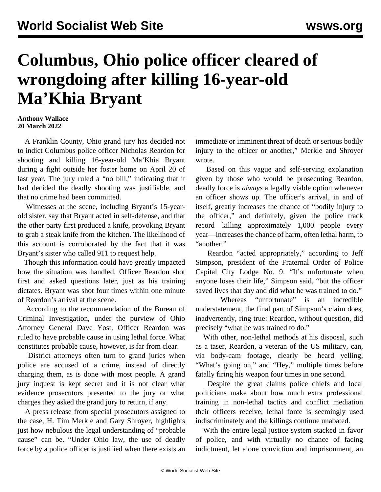## **Columbus, Ohio police officer cleared of wrongdoing after killing 16-year-old Ma'Khia Bryant**

## **Anthony Wallace 20 March 2022**

 A Franklin County, Ohio grand jury has decided not to indict Columbus police officer Nicholas Reardon for shooting and killing 16-year-old Ma'Khia Bryant during a fight outside her foster home on April 20 of last year. The jury ruled a "no bill," indicating that it had decided the deadly shooting was justifiable, and that no crime had been committed.

 Witnesses at the scene, including Bryant's 15-yearold sister, say that Bryant acted in self-defense, and that the other party first produced a knife, provoking Bryant to grab a steak knife from the kitchen. The likelihood of this account is corroborated by the fact that it was Bryant's sister who called 911 to request help.

 Though this information could have greatly impacted how the situation was handled, Officer Reardon shot first and asked questions later, just as his training dictates. Bryant was shot four times within one minute of Reardon's arrival at the scene.

 According to the recommendation of the Bureau of Criminal Investigation, under the purview of Ohio Attorney General Dave Yost, Officer Reardon was ruled to have probable cause in using lethal force. What constitutes probable cause, however, is far from clear.

 District attorneys often turn to grand juries when police are accused of a crime, instead of directly charging them, as is done with most people. A grand jury inquest is kept secret and it is not clear what evidence prosecutors presented to the jury or what charges they asked the grand jury to return, if any.

 A press release from special prosecutors assigned to the case, H. Tim Merkle and Gary Shroyer, highlights just how nebulous the legal understanding of "probable cause" can be. "Under Ohio law, the use of deadly force by a police officer is justified when there exists an immediate or imminent threat of death or serious bodily injury to the officer or another," Merkle and Shroyer wrote.

 Based on this vague and self-serving explanation given by those who would be prosecuting Reardon, deadly force is *always* a legally viable option whenever an officer shows up. The officer's arrival, in and of itself, greatly increases the chance of "bodily injury to the officer," and definitely, given the police track record—killing approximately 1,000 people every year—increases the chance of harm, often lethal harm, to "another."

 Reardon "acted appropriately," according to Jeff Simpson, president of the Fraternal Order of Police Capital City Lodge No. 9. "It's unfortunate when anyone loses their life," Simpson said, "but the officer saved lives that day and did what he was trained to do."

 Whereas "unfortunate" is an incredible understatement, the final part of Simpson's claim does, inadvertently, ring true: Reardon, without question, did precisely "what he was trained to do."

 With other, non-lethal methods at his disposal, such as a taser, Reardon, a veteran of the US military, can, via body-cam footage, clearly be heard yelling, "What's going on," and "Hey," multiple times before fatally firing his weapon four times in one second.

 Despite the great claims police chiefs and local politicians make about how much extra professional training in non-lethal tactics and conflict mediation their officers receive, lethal force is seemingly used indiscriminately and the killings continue unabated.

 With the entire legal justice system stacked in favor of police, and with virtually no chance of facing indictment, let alone conviction and imprisonment, an